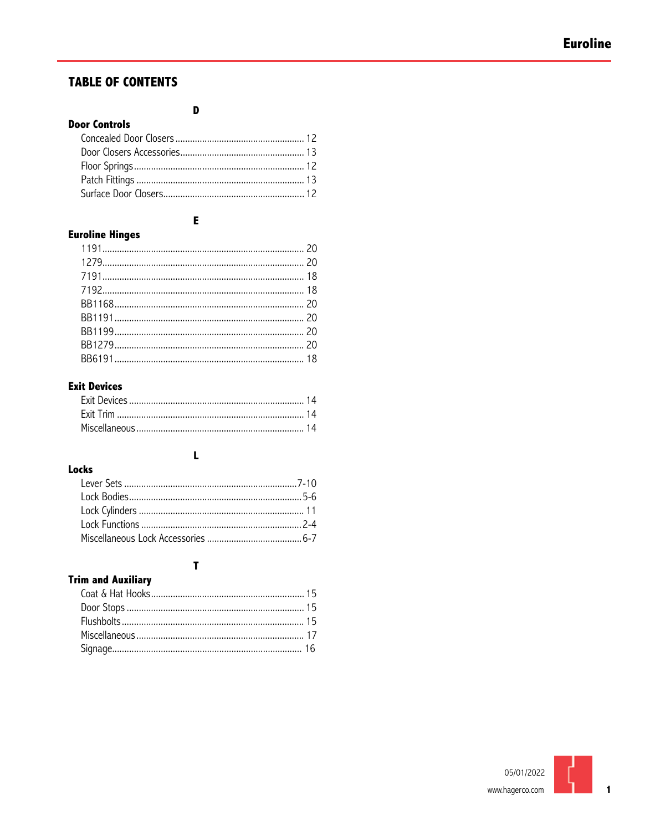### **TABLE OF CONTENTS**

| <b>Door Controls</b> |  |
|----------------------|--|
|                      |  |
|                      |  |
|                      |  |
|                      |  |
|                      |  |

D

### E

### **Euroline Hinges**

### **Exit Devices**

# Locks

### $\mathbf{L}$

### $\mathbf{r}$

### **Trim and Auxiliary**

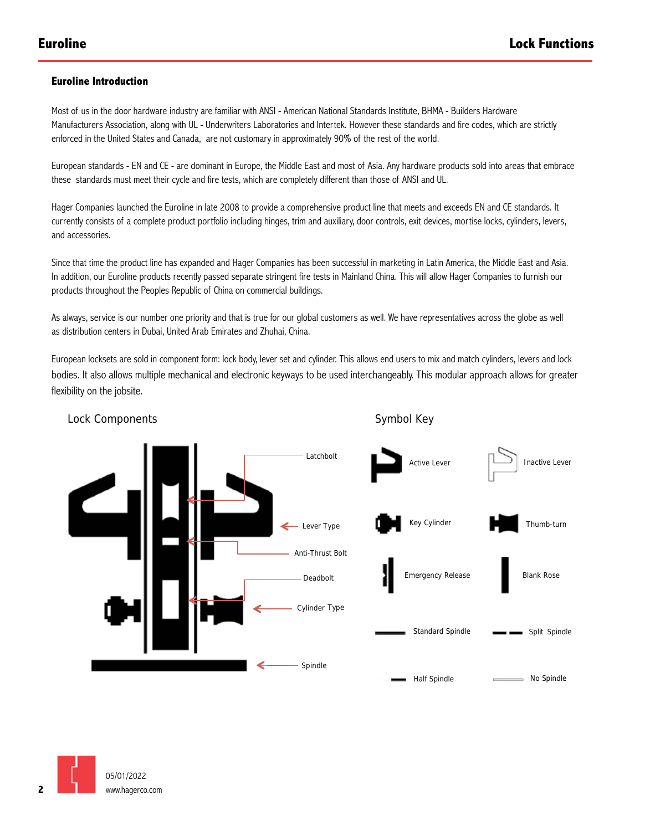### **Euroline Introduction**

Most of us in the door hardware industry are familiar with ANSI - American National Standards Institute, BHMA - Builders Hardware Manufacturers Association, along with UL - Underwriters Laboratories and Intertek. However these standards and fire codes, which are strictly enforced in the United States and Canada, are not customary in approximately 90% of the rest of the world.

European standards - EN and CE - are dominant in Europe, the Middle East and most of Asia. Any hardware products sold into areas that embrace these standards must meet their cycle and fire tests, which are completely different than those of ANSI and UL.

Hager Companies launched the Euroline in late 2008 to provide a comprehensive product line that meets and exceeds EN and CE standards. It currently consists of a complete product portfolio including hinges, trim and auxiliary, door controls, exit devices, mortise locks, cylinders, levers, and accessories.

Since that time the product line has expanded and Hager Companies has been successful in marketing in Latin America, the Middle East and Asia. In addition, our Euroline products recently passed separate stringent fire tests in Mainland China. This will allow Hager Companies to furnish our products throughout the Peoples Republic of China on commercial buildings.

As always, service is our number one priority and that is true for our global customers as well. We have representatives across the globe as well as distribution centers in Dubai, United Arab Emirates and Zhuhai, China.

flexibility on the jobsite. European locksets are sold in component form: lock body, lever set and cylinder. This allows end users to mix and match cylinders, levers and lock bodies. It also allows multiple mechanical and electronic keyways to be used interchangeably. This modular approach allows for greater





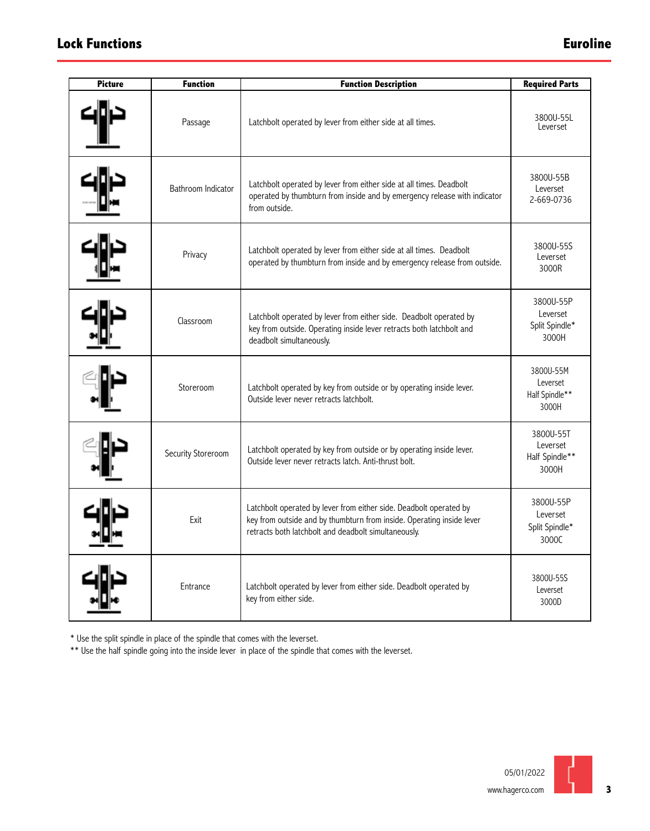## **Lock Functions Euroline**

| <b>Picture</b> | <b>Function</b>    | <b>Function Description</b>                                                                                                                                                                         | <b>Required Parts</b>                            |
|----------------|--------------------|-----------------------------------------------------------------------------------------------------------------------------------------------------------------------------------------------------|--------------------------------------------------|
|                | Passage            | Latchbolt operated by lever from either side at all times.                                                                                                                                          | 3800U-55L<br>Leverset                            |
|                | Bathroom Indicator | Latchbolt operated by lever from either side at all times. Deadbolt<br>operated by thumbturn from inside and by emergency release with indicator<br>from outside.                                   | 3800U-55B<br>Leverset<br>2-669-0736              |
|                | Privacy            | Latchbolt operated by lever from either side at all times. Deadbolt<br>operated by thumbturn from inside and by emergency release from outside.                                                     | 3800U-55S<br>Leverset<br>3000R                   |
|                | Classroom          | Latchbolt operated by lever from either side. Deadbolt operated by<br>key from outside. Operating inside lever retracts both latchbolt and<br>deadbolt simultaneously.                              | 3800U-55P<br>Leverset<br>Split Spindle*<br>3000H |
|                | Storeroom          | Latchbolt operated by key from outside or by operating inside lever.<br>Outside lever never retracts latchbolt.                                                                                     | 3800U-55M<br>Leverset<br>Half Spindle**<br>3000H |
|                | Security Storeroom | Latchbolt operated by key from outside or by operating inside lever.<br>Outside lever never retracts latch. Anti-thrust bolt.                                                                       | 3800U-55T<br>Leverset<br>Half Spindle**<br>3000H |
|                | Exit               | Latchbolt operated by lever from either side. Deadbolt operated by<br>key from outside and by thumbturn from inside. Operating inside lever<br>retracts both latchbolt and deadbolt simultaneously. | 3800U-55P<br>Leverset<br>Split Spindle*<br>3000C |
|                | Entrance           | Latchbolt operated by lever from either side. Deadbolt operated by<br>key from either side.                                                                                                         | 3800U-55S<br>Leverset<br>3000D                   |

\* Use the split spindle in place of the spindle that comes with the leverset.

\*\* Use the half spindle going into the inside lever in place of the spindle that comes with the leverset.

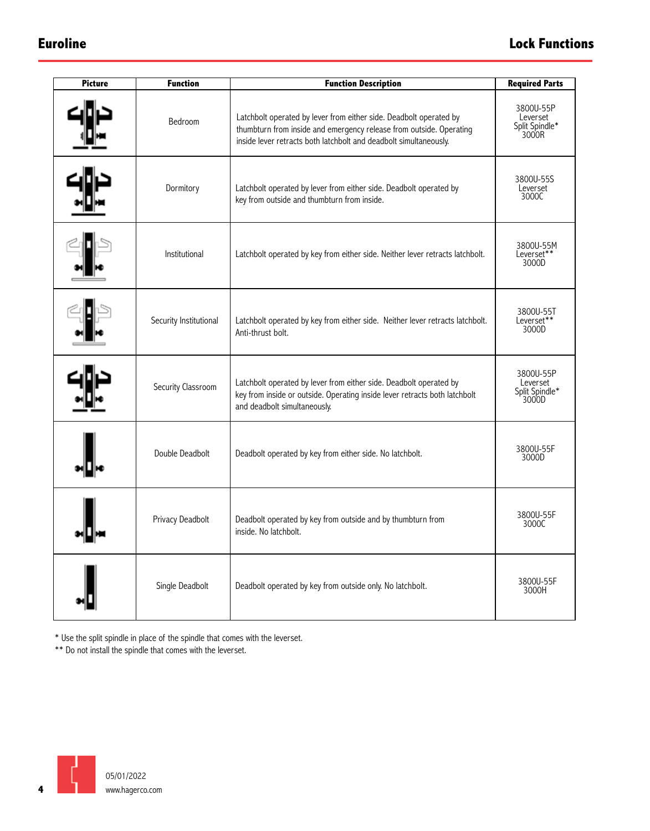| <b>Picture</b> | <b>Function</b>        | <b>Function Description</b>                                                                                                                                                                                    | <b>Required Parts</b>                            |
|----------------|------------------------|----------------------------------------------------------------------------------------------------------------------------------------------------------------------------------------------------------------|--------------------------------------------------|
|                | Bedroom                | Latchbolt operated by lever from either side. Deadbolt operated by<br>thumbturn from inside and emergency release from outside. Operating<br>inside lever retracts both latchbolt and deadbolt simultaneously. | 3800U-55P<br>Leverset<br>Split Spindle*<br>3000R |
|                | Dormitory              | Latchbolt operated by lever from either side. Deadbolt operated by<br>key from outside and thumbturn from inside.                                                                                              | 3800U-55S<br>Leverset<br>3000C                   |
|                | Institutional          | Latchbolt operated by key from either side. Neither lever retracts latchbolt.                                                                                                                                  | 3800U-55M<br>Leverset**<br>3000D                 |
|                | Security Institutional | Latchbolt operated by key from either side. Neither lever retracts latchbolt.<br>Anti-thrust bolt.                                                                                                             | 3800U-55T<br>Leverset**<br>3000D                 |
|                | Security Classroom     | Latchbolt operated by lever from either side. Deadbolt operated by<br>key from inside or outside. Operating inside lever retracts both latchbolt<br>and deadbolt simultaneously.                               | 3800U-55P<br>Leverset<br>Split Spindle*<br>3000D |
|                | Double Deadbolt        | Deadbolt operated by key from either side. No latchbolt.                                                                                                                                                       | 3800U-55F<br>3000D                               |
|                | Privacy Deadbolt       | Deadbolt operated by key from outside and by thumbturn from<br>inside. No latchbolt.                                                                                                                           | 3800U-55F<br>3000C                               |
|                | Single Deadbolt        | Deadbolt operated by key from outside only. No latchbolt.                                                                                                                                                      | 3800U-55F<br>3000H                               |

\* Use the split spindle in place of the spindle that comes with the leverset.

\*\* Do not install the spindle that comes with the leverset.

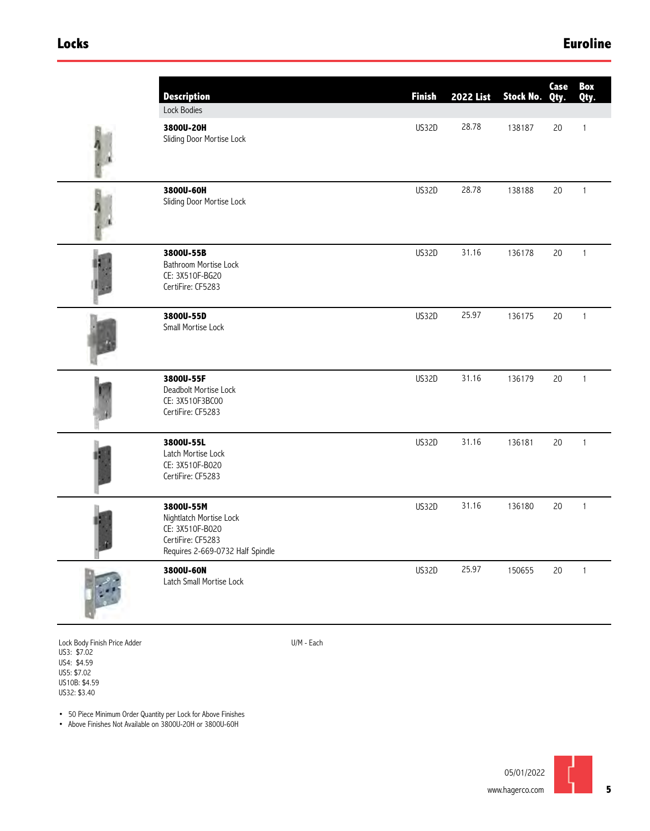### **Locks Euroline**

| <b>Description</b>                                                                                               | <b>Finish</b> | <b>2022 List</b> | Stock No. Qty. | Case | Box<br>Qty.  |
|------------------------------------------------------------------------------------------------------------------|---------------|------------------|----------------|------|--------------|
| Lock Bodies                                                                                                      |               |                  |                |      |              |
| 3800U-20H<br>Sliding Door Mortise Lock                                                                           | US32D         | 28.78            | 138187         | 20   | $\mathbf{1}$ |
| 3800U-60H<br>Sliding Door Mortise Lock                                                                           | US32D         | 28.78            | 138188         | 20   | $\mathbf{1}$ |
| 3800U-55B<br>Bathroom Mortise Lock<br>CE: 3X510F-BG20<br>CertiFire: CF5283                                       | US32D         | 31.16            | 136178         | 20   | $\mathbf{1}$ |
| 3800U-55D<br>Small Mortise Lock                                                                                  | US32D         | 25.97            | 136175         | 20   | $\mathbf{1}$ |
| 3800U-55F<br>Deadbolt Mortise Lock<br>CE: 3X510F3BC00<br>CertiFire: CF5283                                       | US32D         | 31.16            | 136179         | 20   | $\mathbf{1}$ |
| 3800U-55L<br>Latch Mortise Lock<br>CE: 3X510F-B020<br>CertiFire: CF5283                                          | US32D         | 31.16            | 136181         | 20   | $\mathbf{1}$ |
| 3800U-55M<br>Nightlatch Mortise Lock<br>CE: 3X510F-B020<br>CertiFire: CF5283<br>Requires 2-669-0732 Half Spindle | US32D         | 31.16            | 136180         | 20   | $\mathbf{1}$ |
| 3800U-60N<br>Latch Small Mortise Lock                                                                            | US32D         | 25.97            | 150655         | 20   | $\mathbf{1}$ |

Lock Body Finish Price Adder US3: \$7.02 US4: \$4.59 US5: \$7.02 US10B: \$4.59 US32: \$3.40

U/M - Each

• 50 Piece Minimum Order Quantity per Lock for Above Finishes

• Above Finishes Not Available on 3800U-20H or 3800U-60H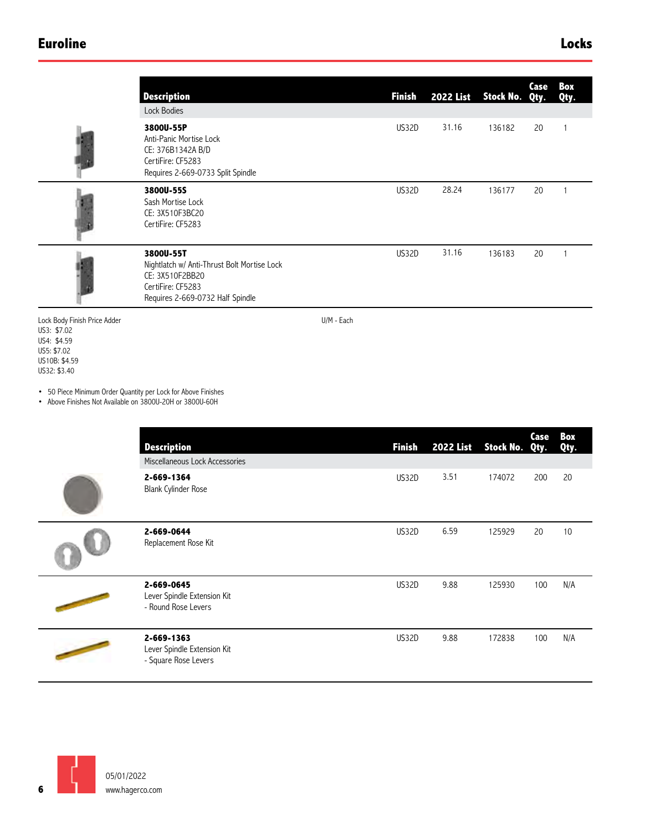### **Euroline Locks**

|                                                                                                                           | <b>Description</b>                                                                                                                   |            | <b>Finish</b> | <b>2022 List</b> | Stock No. | Case<br>Qty. | Box<br>Qty.  |
|---------------------------------------------------------------------------------------------------------------------------|--------------------------------------------------------------------------------------------------------------------------------------|------------|---------------|------------------|-----------|--------------|--------------|
|                                                                                                                           | Lock Bodies<br>3800U-55P<br>Anti-Panic Mortise Lock<br>CE: 376B1342A B/D<br>CertiFire: CF5283<br>Requires 2-669-0733 Split Spindle   |            | US32D         | 31.16            | 136182    | 20           | 1            |
|                                                                                                                           | 3800U-55S<br>Sash Mortise Lock<br>CE: 3X510F3BC20<br>CertiFire: CF5283                                                               |            | US32D         | 28.24            | 136177    | 20           | 1            |
|                                                                                                                           | 3800U-55T<br>Nightlatch w/ Anti-Thrust Bolt Mortise Lock<br>CE: 3X510F2BB20<br>CertiFire: CF5283<br>Requires 2-669-0732 Half Spindle |            | US32D         | 31.16            | 136183    | 20           | $\mathbf{1}$ |
| Lock Body Finish Price Adder<br>US3: \$7.02<br>US4: \$4.59<br>US5: \$7.02<br>US10B: \$4.59<br>US32: \$3.40                |                                                                                                                                      | U/M - Each |               |                  |           |              |              |
| • 50 Piece Minimum Order Quantity per Lock for Above Finishes<br>• Above Finishes Not Available on 3800U-20H or 3800U-60H |                                                                                                                                      |            |               |                  |           |              |              |
|                                                                                                                           | <b>Description</b><br>Miscellaneous Lock Accessories                                                                                 |            | <b>Finish</b> | <b>2022 List</b> | Stock No. | Case<br>Qty. | Box<br>Qty.  |

| <b>Description</b>                                                | <b>Finish</b> | <b>2022 List</b> | Stock No. Qty. | Case | Box<br>Qty. |
|-------------------------------------------------------------------|---------------|------------------|----------------|------|-------------|
| Miscellaneous Lock Accessories                                    |               |                  |                |      |             |
| 2-669-1364<br><b>Blank Cylinder Rose</b>                          | US32D         | 3.51             | 174072         | 200  | 20          |
| 2-669-0644<br>Replacement Rose Kit                                | US32D         | 6.59             | 125929         | 20   | 10          |
| 2-669-0645<br>Lever Spindle Extension Kit<br>- Round Rose Levers  | US32D         | 9.88             | 125930         | 100  | N/A         |
| 2-669-1363<br>Lever Spindle Extension Kit<br>- Square Rose Levers | US32D         | 9.88             | 172838         | 100  | N/A         |

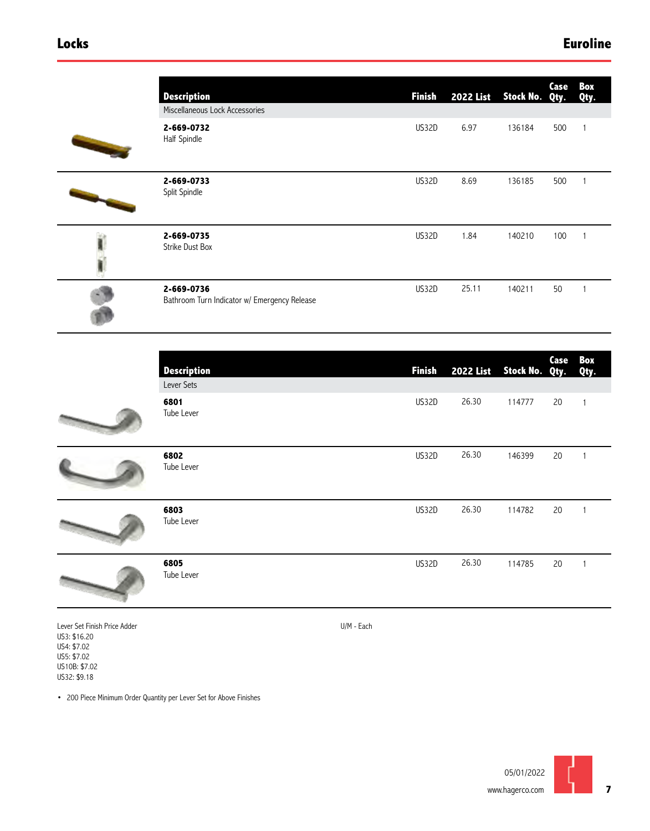| <b>Description</b><br>Miscellaneous Lock Accessories       | <b>Finish</b> | <b>2022 List</b> | Stock No. Qty. | Case         | Box<br>Qty.    |
|------------------------------------------------------------|---------------|------------------|----------------|--------------|----------------|
| 2-669-0732<br>Half Spindle                                 | US32D         | 6.97             | 136184         | 500          | $\mathbf{1}$   |
| 2-669-0733<br>Split Spindle                                | US32D         | 8.69             | 136185         | 500          | $\overline{1}$ |
| 2-669-0735<br><b>Strike Dust Box</b>                       | US32D         | 1.84             | 140210         | 100          | $\mathbf{1}$   |
| 2-669-0736<br>Bathroom Turn Indicator w/ Emergency Release | US32D         | 25.11            | 140211         | 50           |                |
| <b>Description</b><br>Lever Sets                           | <b>Finish</b> | <b>2022 List</b> | Stock No.      | Case<br>Qty. | Box<br>Qty.    |
| 6801<br>Tube Lever                                         | US32D         | 26.30            | 114777         | 20           | $\mathbf{1}$   |



| 6805               | US32D |
|--------------------|-------|
| 6803<br>Tube Lever | US32D |
| 6802<br>Tube Lever | US32D |
| ----<br>Tube Lever |       |



Tube Lever

Lever Set Finish Price Adder US3: \$16.20 US4: \$7.02 US5: \$7.02

US10B: \$7.02 US32: \$9.18

U/M - Each

26.30

146399

20

1

1

1

20

20

114782

114785

26.30

26.30

• 200 Piece Minimum Order Quantity per Lever Set for Above Finishes

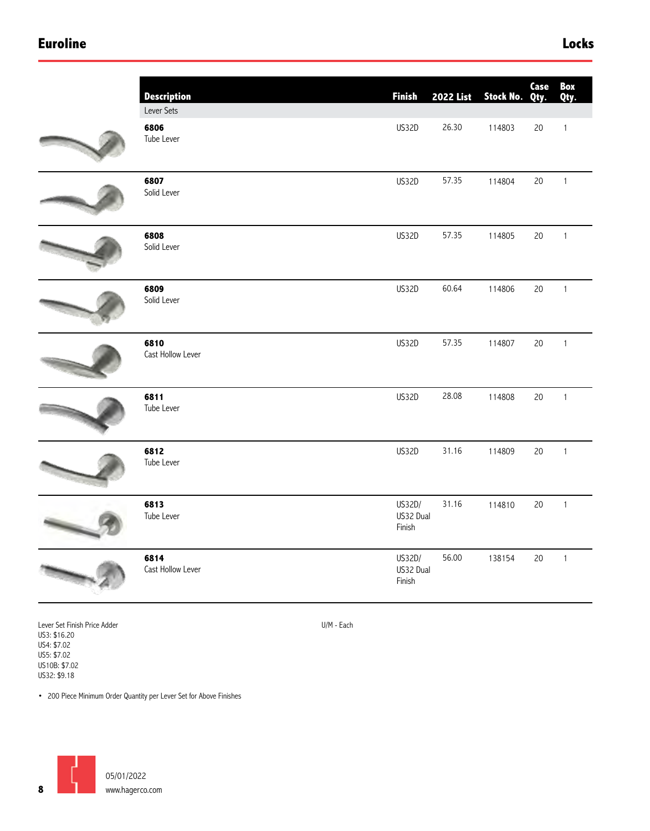### **Euroline Locks**

| <b>Description</b>        | <b>Finish</b>                 | <b>2022 List</b> | Stock No. | Case<br>Qty. | Box<br>Qty.  |
|---------------------------|-------------------------------|------------------|-----------|--------------|--------------|
| Lever Sets                |                               |                  |           |              |              |
| 6806<br>Tube Lever        | US32D                         | 26.30            | 114803    | 20           | $\mathbf{1}$ |
| 6807<br>Solid Lever       | US32D                         | 57.35            | 114804    | $20\,$       | $\mathbf{1}$ |
| 6808<br>Solid Lever       | US32D                         | 57.35            | 114805    | 20           | $\mathbf{1}$ |
| 6809<br>Solid Lever       | <b>US32D</b>                  | 60.64            | 114806    | $20\,$       | $\mathbf 1$  |
| 6810<br>Cast Hollow Lever | <b>US32D</b>                  | 57.35            | 114807    | 20           | $\mathbf{1}$ |
| 6811<br>Tube Lever        | US32D                         | 28.08            | 114808    | 20           | $\mathbf 1$  |
| 6812<br>Tube Lever        | US32D                         | 31.16            | 114809    | 20           | $\mathbf{1}$ |
| 6813<br>Tube Lever        | US32D/<br>US32 Dual<br>Finish | 31.16            | 114810    | 20           | $\mathbf{1}$ |
| 6814<br>Cast Hollow Lever | US32D/<br>US32 Dual<br>Finish | 56.00            | 138154    | 20           | $\mathbf{1}$ |
|                           |                               |                  |           |              |              |

Lever Set Finish Price Adder US3: \$16.20 US4: \$7.02 US5: \$7.02 US10B: \$7.02 US32: \$9.18

U/M - Each

• 200 Piece Minimum Order Quantity per Lever Set for Above Finishes

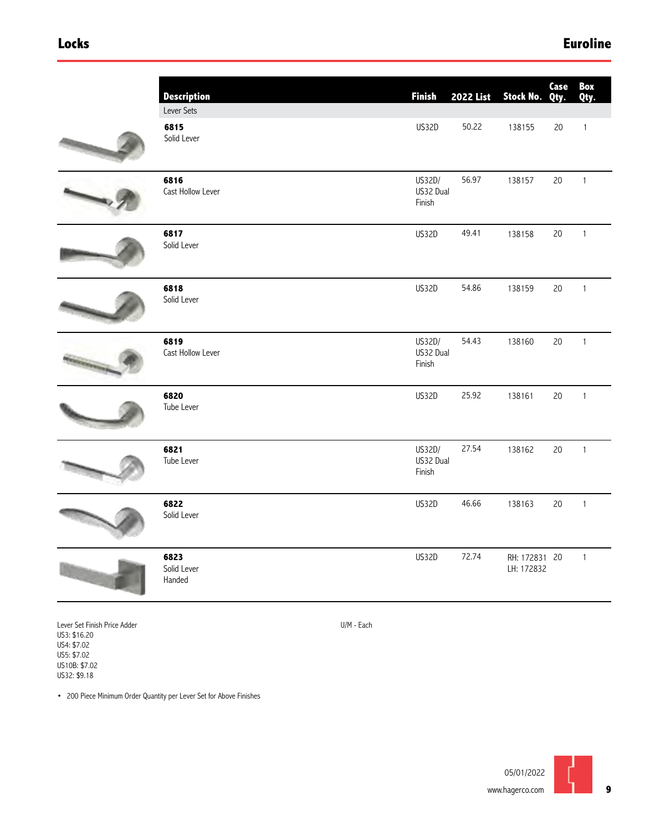### **Locks Euroline**

| <b>Description</b>                | <b>Finish</b>                 | <b>2022 List</b> | Stock No.                   | Case<br>Qty. | Box<br>Qty.  |
|-----------------------------------|-------------------------------|------------------|-----------------------------|--------------|--------------|
| Lever Sets<br>6815<br>Solid Lever | US32D                         | 50.22            | 138155                      | 20           | $\mathbf{1}$ |
| 6816<br>Cast Hollow Lever         | US32D/<br>US32 Dual<br>Finish | 56.97            | 138157                      | 20           | $\mathbf{1}$ |
| 6817<br>Solid Lever               | <b>US32D</b>                  | 49.41            | 138158                      | 20           | $\mathbf{1}$ |
| 6818<br>Solid Lever               | US32D                         | 54.86            | 138159                      | 20           | $\mathbf{1}$ |
| 6819<br>Cast Hollow Lever         | US32D/<br>US32 Dual<br>Finish | 54.43            | 138160                      | 20           | $\mathbf{1}$ |
| 6820<br>Tube Lever                | US32D                         | 25.92            | 138161                      | 20           | $\mathbf{1}$ |
| 6821<br>Tube Lever                | US32D/<br>US32 Dual<br>Finish | 27.54            | 138162                      | 20           | $\mathbf 1$  |
| 6822<br>Solid Lever               | <b>US32D</b>                  | 46.66            | 138163                      | $20\,$       | $\mathbf{1}$ |
| 6823<br>Solid Lever<br>Handed     | US32D                         | 72.74            | RH: 172831 20<br>LH: 172832 |              | $\mathbf{1}$ |
|                                   |                               |                  |                             |              |              |

Lever Set Finish Price Adder US3: \$16.20 US4: \$7.02 US5: \$7.02 US10B: \$7.02 US32: \$9.18

U/M - Each

• 200 Piece Minimum Order Quantity per Lever Set for Above Finishes

**9**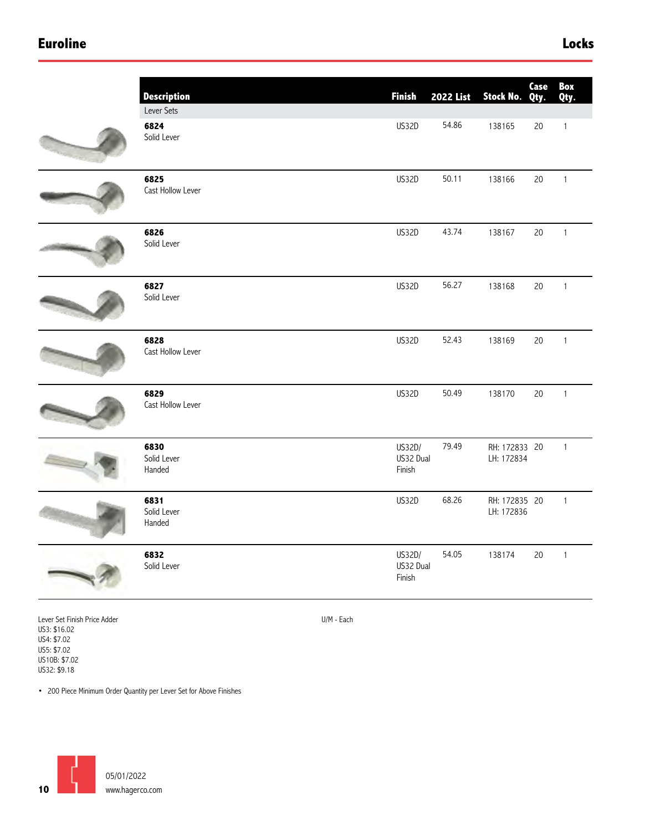### **Euroline Locks**

| <b>Description</b><br>Lever Sets | <b>Finish</b>                 | <b>2022 List</b> | Stock No. Qty.              | Case   | Box<br>Qty.  |
|----------------------------------|-------------------------------|------------------|-----------------------------|--------|--------------|
| 6824<br>Solid Lever              | US32D                         | 54.86            | 138165                      | 20     | $\mathbf{1}$ |
| 6825<br>Cast Hollow Lever        | US32D                         | 50.11            | 138166                      | $20\,$ | $\mathbf{1}$ |
| 6826<br>Solid Lever              | US32D                         | 43.74            | 138167                      | 20     | $\mathbf{1}$ |
| 6827<br>Solid Lever              | US32D                         | 56.27            | 138168                      | $20\,$ | $\mathbf{1}$ |
| 6828<br>Cast Hollow Lever        | US32D                         | 52.43            | 138169                      | 20     | $\mathbf{1}$ |
| 6829<br>Cast Hollow Lever        | US32D                         | 50.49            | 138170                      | 20     | $\mathbf 1$  |
| 6830<br>Solid Lever<br>Handed    | US32D/<br>US32 Dual<br>Finish | 79.49            | RH: 172833 20<br>LH: 172834 |        | $\mathbf{1}$ |
| 6831<br>Solid Lever<br>Handed    | US32D                         | 68.26            | RH: 172835 20<br>LH: 172836 |        | $\mathbf{1}$ |
| 6832<br>Solid Lever              | US32D/<br>US32 Dual<br>Finish | 54.05            | 138174                      | $20\,$ | $\mathbf{1}$ |
|                                  |                               |                  |                             |        |              |

U/M - Each

Lever Set Finish Price Adder US3: \$16.02 US4: \$7.02 US5: \$7.02 US10B: \$7.02 US32: \$9.18

• 200 Piece Minimum Order Quantity per Lever Set for Above Finishes

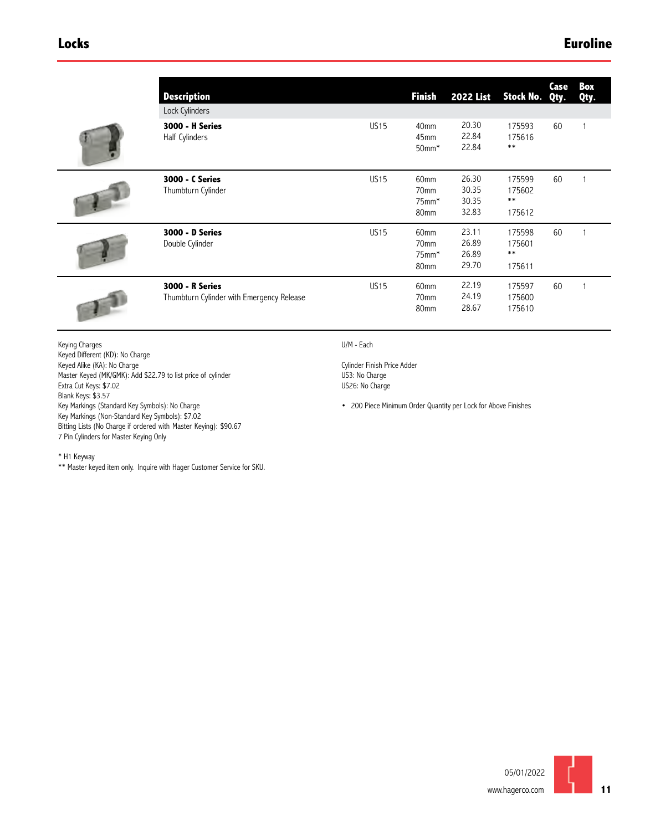| <b>Description</b><br>Lock Cylinders                                |             | <b>Finish</b>                                               | <b>2022 List</b>                 | Stock No. Qty.                      | Case | Вох<br>Qty. |
|---------------------------------------------------------------------|-------------|-------------------------------------------------------------|----------------------------------|-------------------------------------|------|-------------|
| <b>3000 - H Series</b><br>Half Cylinders                            | <b>US15</b> | 40 <sub>mm</sub><br>45 <sub>mm</sub><br>$50$ mm $*$         | 20.30<br>22.84<br>22.84          | 175593<br>175616<br>$***$           | 60   |             |
| 3000 - C Series<br>Thumbturn Cylinder                               | <b>US15</b> | 60mm<br>70 <sub>mm</sub><br>$75$ mm $*$<br>80mm             | 26.30<br>30.35<br>30.35<br>32.83 | 175599<br>175602<br>$***$<br>175612 | 60   |             |
| <b>3000 - D Series</b><br>Double Cylinder                           | <b>US15</b> | 60 <sub>mm</sub><br>70 <sub>mm</sub><br>$75$ mm $*$<br>80mm | 23.11<br>26.89<br>26.89<br>29.70 | 175598<br>175601<br>$***$<br>175611 | 60   |             |
| <b>3000 - R Series</b><br>Thumbturn Cylinder with Emergency Release | <b>US15</b> | 60 <sub>mm</sub><br>70 <sub>mm</sub><br>80mm                | 22.19<br>24.19<br>28.67          | 175597<br>175600<br>175610          | 60   |             |

Keying Charges Keyed Different (KD): No Charge Keyed Alike (KA): No Charge Master Keyed (MK/GMK): Add \$22.79 to list price of cylinder Extra Cut Keys: \$7.02 Blank Keys: \$3.57 Key Markings (Standard Key Symbols): No Charge Key Markings (Non-Standard Key Symbols): \$7.02 Bitting Lists (No Charge if ordered with Master Keying): \$90.67 7 Pin Cylinders for Master Keying Only

U/M - Each

Cylinder Finish Price Adder US3: No Charge US26: No Charge

• 200 Piece Minimum Order Quantity per Lock for Above Finishes

\* H1 Keyway

\*\* Master keyed item only. Inquire with Hager Customer Service for SKU.

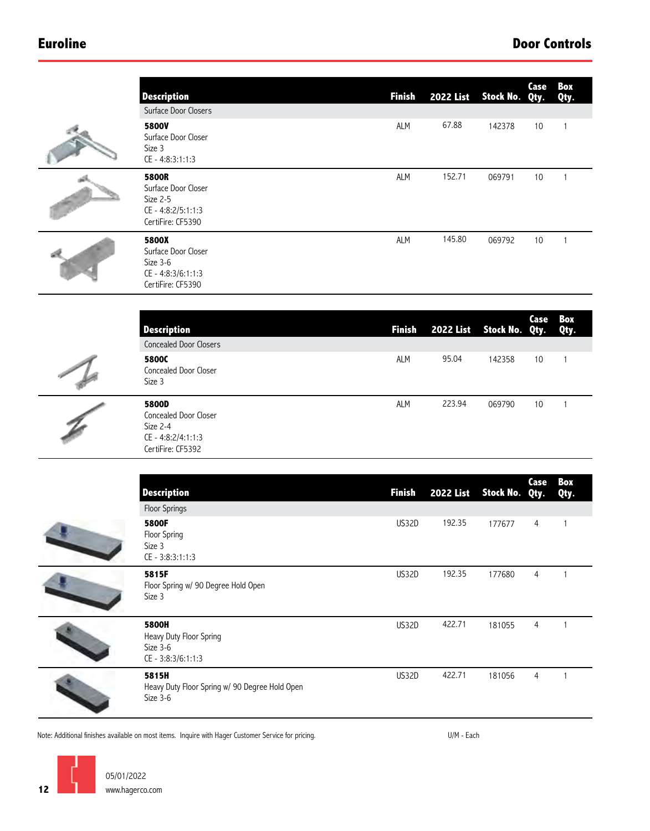| <b>Description</b>                                                                         | <b>Finish</b> | <b>2022 List</b> | Stock No. | Case<br>Qty.   | Box<br>Qty.  |
|--------------------------------------------------------------------------------------------|---------------|------------------|-----------|----------------|--------------|
| Surface Door Closers                                                                       |               |                  |           |                |              |
| <b>5800V</b><br>Surface Door Closer<br>Size 3<br>CE - 4:8:3:1:1:3                          | ALM           | 67.88            | 142378    | 10             | $\mathbf{1}$ |
| <b>5800R</b><br>Surface Door Closer<br>Size 2-5<br>CE - 4:8:2/5:1:1:3<br>CertiFire: CF5390 | <b>ALM</b>    | 152.71           | 069791    | 10             | $\mathbf{1}$ |
| <b>5800X</b><br>Surface Door Closer<br>Size 3-6<br>CE - 4:8:3/6:1:1:3<br>CertiFire: CF5390 | <b>ALM</b>    | 145.80           | 069792    | 10             | $\mathbf{1}$ |
|                                                                                            |               |                  |           | Case           | Box          |
| <b>Description</b>                                                                         | <b>Finish</b> | <b>2022 List</b> | Stock No. | Qty.           | Qty.         |
| <b>Concealed Door Closers</b><br>5800C                                                     |               | 95.04            |           |                |              |
| Concealed Door Closer<br>Size 3                                                            | ALM           |                  | 142358    | 10             | $\mathbf{1}$ |
| 5800D<br>Concealed Door Closer<br>Size 2-4<br>CE - 4:8:2/4:1:1:3<br>CertiFire: CF5392      | ALM           | 223.94           | 069790    | 10             | $\mathbf{1}$ |
|                                                                                            |               |                  |           |                |              |
| <b>Description</b><br>Floor Springs                                                        | <b>Finish</b> | <b>2022 List</b> | Stock No. | Case<br>Qty.   | Box<br>Qty.  |
| 5800F<br>Floor Spring<br>Size 3<br>CE - 3:8:3:1:1:3                                        | US32D         | 192.35           | 177677    | 4              | $\mathbf{1}$ |
| 5815F<br>Floor Spring w/ 90 Degree Hold Open<br>Size 3                                     | US32D         | 192.35           | 177680    | $\overline{4}$ | $\mathbf{1}$ |
| <b>5800H</b><br>Heavy Duty Floor Spring<br>Size 3-6<br>CE - 3:8:3/6:1:1:3                  | US32D         | 422.71           | 181055    | $\overline{4}$ | $\mathbf{1}$ |
| 5815H<br>Heavy Duty Floor Spring w/ 90 Degree Hold Open<br>Size 3-6                        | US32D         | 422.71           | 181056    | 4              | $\mathbf{1}$ |
|                                                                                            |               |                  |           |                |              |

Note: Additional finishes available on most items. Inquire with Hager Customer Service for pricing. The most service for pricing.

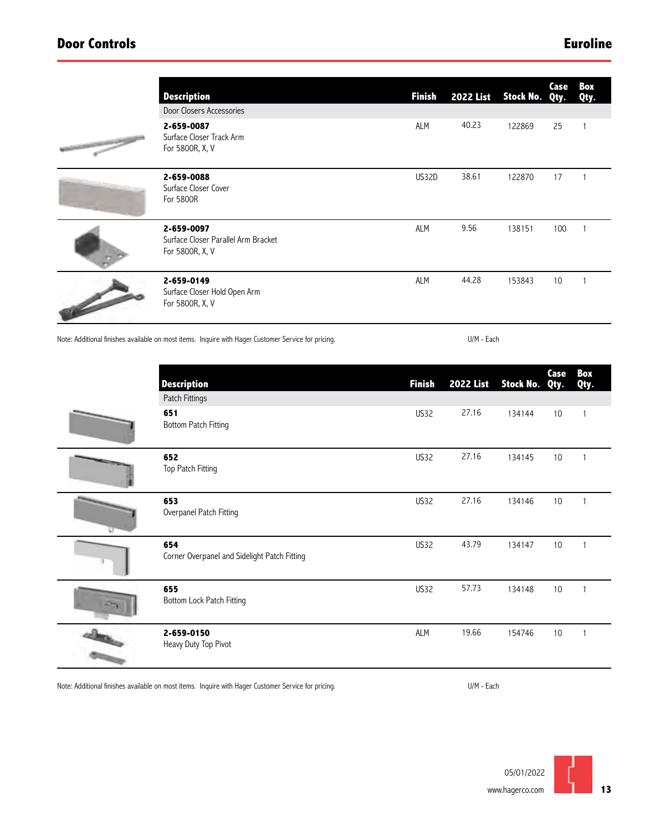| <b>Description</b>                                                   | <b>Finish</b> | <b>2022 List</b> | Stock No. Qty. | Case | Box<br>Qty. |
|----------------------------------------------------------------------|---------------|------------------|----------------|------|-------------|
| Door Closers Accessories                                             |               |                  |                |      |             |
| 2-659-0087<br>Surface Closer Track Arm<br>For 5800R, X, V            | ALM           | 40.23            | 122869         | 25   |             |
| 2-659-0088<br>Surface Closer Cover<br>For 5800R                      | US32D         | 38.61            | 122870         | 17   |             |
| 2-659-0097<br>Surface Closer Parallel Arm Bracket<br>For 5800R, X, V | <b>ALM</b>    | 9.56             | 138151         | 100  |             |
| 2-659-0149<br>Surface Closer Hold Open Arm<br>For 5800R, X, V        | <b>ALM</b>    | 44.28            | 153843         | 10   |             |

Note: Additional finishes available on most items. Inquire with Hager Customer Service for pricing.

U/M - Each

| <b>Description</b><br>Patch Fittings                | <b>Finish</b> | <b>2022 List</b> | Stock No. Qty. | Case | Box<br>Qty.    |
|-----------------------------------------------------|---------------|------------------|----------------|------|----------------|
| 651<br><b>Bottom Patch Fitting</b>                  | <b>US32</b>   | 27.16            | 134144         | 10   | 1              |
| 652<br>Top Patch Fitting                            | US32          | 27.16            | 134145         | 10   | -1             |
| 653<br>Overpanel Patch Fitting                      | <b>US32</b>   | 27.16            | 134146         | 10   |                |
| 654<br>Corner Overpanel and Sidelight Patch Fitting | <b>US32</b>   | 43.79            | 134147         | 10   |                |
| 655<br>Bottom Lock Patch Fitting                    | US32          | 57.73            | 134148         | 10   |                |
| 2-659-0150<br>Heavy Duty Top Pivot                  | ALM           | 19.66            | 154746         | 10   | $\overline{1}$ |

Note: Additional finishes available on most items. Inquire with Hager Customer Service for pricing.

U/M - Each

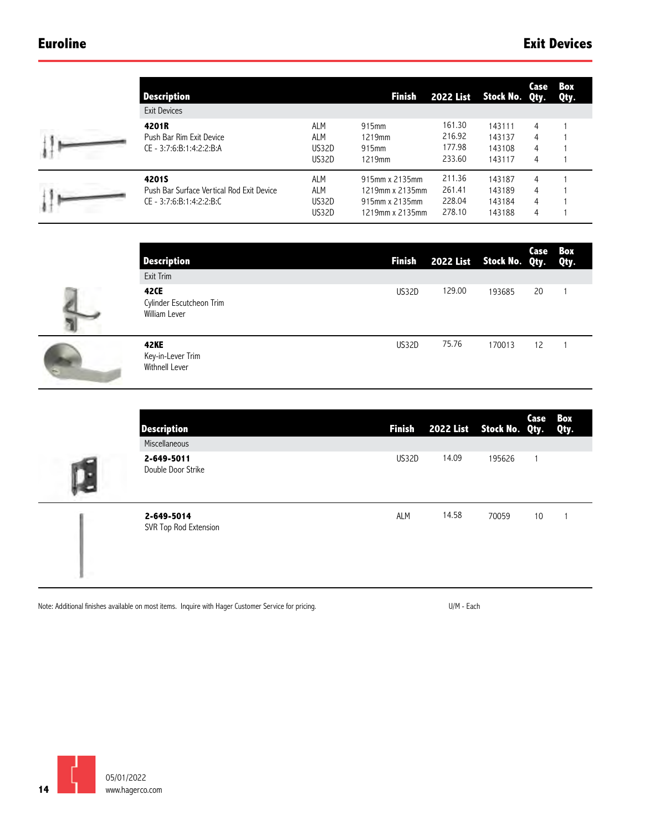ы

I

| <b>Description</b>                        |            | <b>Finish</b>   |        | 2022 List Stock No. Qty. | Case | Вох<br>Qty. |
|-------------------------------------------|------------|-----------------|--------|--------------------------|------|-------------|
| <b>Exit Devices</b>                       |            |                 |        |                          |      |             |
| 4201R                                     | <b>ALM</b> | 915mm           | 161.30 | 143111                   | 4    |             |
| Push Bar Rim Exit Device                  | <b>ALM</b> | 1219mm          | 216.92 | 143137                   | 4    |             |
| CE - 3:7:6:B:1:4:2:2:B:A                  | US32D      | 915mm           | 177.98 | 143108                   | 4    |             |
|                                           | US32D      | 1219mm          | 233.60 | 143117                   | 4    |             |
| <b>4201S</b>                              | <b>ALM</b> | 915mm x 2135mm  | 211.36 | 143187                   | 4    |             |
| Push Bar Surface Vertical Rod Exit Device | <b>ALM</b> | 1219mm x 2135mm | 261.41 | 143189                   | 4    |             |
| CE - 3:7:6:B:1:4:2:2:B:C                  | US32D      | 915mm x 2135mm  | 228.04 | 143184                   | 4    |             |
|                                           | US32D      | 1219mm x 2135mm | 278.10 | 143188                   | 4    |             |

| <b>Description</b><br>Exit Trim                    |       | Finish 2022 List Stock No. Qty. Qty. |        | Case | Box |
|----------------------------------------------------|-------|--------------------------------------|--------|------|-----|
| 42CE<br>Cylinder Escutcheon Trim<br>William Lever  | US32D | 129.00                               | 193685 | 20   |     |
| <b>42KE</b><br>Key-in-Lever Trim<br>Withnell Lever | US32D | 75.76                                | 170013 | 12   |     |

|   | <b>Description</b><br>Miscellaneous |       | Finish 2022 List Stock No. Qty. |        | Case Box | Qty. |
|---|-------------------------------------|-------|---------------------------------|--------|----------|------|
| Т | 2-649-5011<br>Double Door Strike    | US32D | 14.09                           | 195626 |          |      |
|   | 2-649-5014<br>SVR Top Rod Extension | ALM   | 14.58                           | 70059  | 10       |      |

Note: Additional finishes available on most items. Inquire with Hager Customer Service for pricing. The most service for pricing.

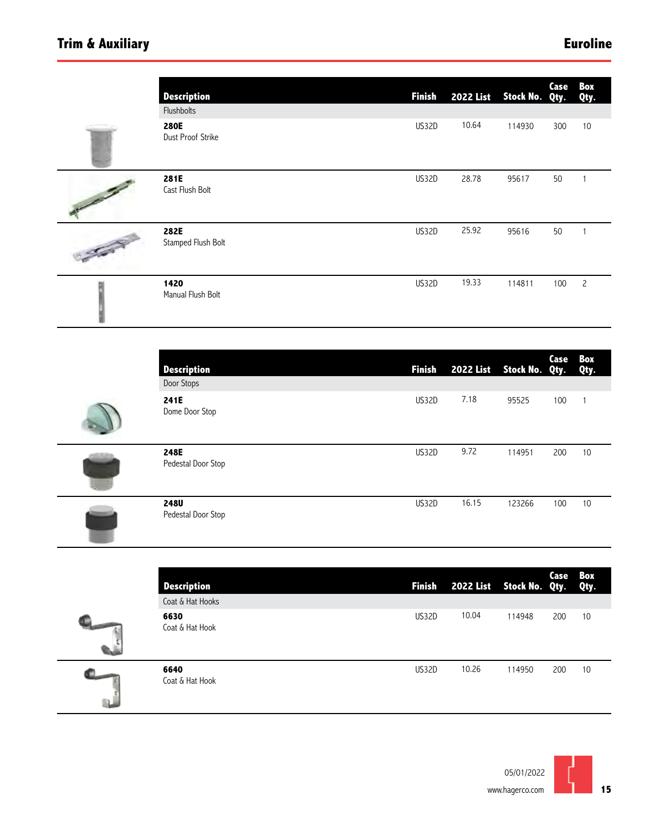# **Trim & Auxiliary Euroline**

|                       | <b>Description</b><br>Flushbolts | <b>Finish</b> | <b>2022 List</b> | Stock No. Qty. | Case | Box<br>Qty.    |
|-----------------------|----------------------------------|---------------|------------------|----------------|------|----------------|
|                       | <b>280E</b><br>Dust Proof Strike | US32D         | 10.64            | 114930         | 300  | 10             |
| <b>September 1879</b> | 281E<br>Cast Flush Bolt          | US32D         | 28.78            | 95617          | 50   |                |
| <b>September 200</b>  | 282E<br>Stamped Flush Bolt       | US32D         | 25.92            | 95616          | 50   |                |
|                       | 1420<br>Manual Flush Bolt        | US32D         | 19.33            | 114811         | 100  | $\overline{c}$ |

| <b>Description</b><br>Door Stops  | <b>Finish</b> | 2022 List Stock No. Qty. Qty. |        | Case | Box |
|-----------------------------------|---------------|-------------------------------|--------|------|-----|
| 241E<br>Dome Door Stop            | US32D         | 7.18                          | 95525  | 100  |     |
| 248E<br>Pedestal Door Stop        | US32D         | 9.72                          | 114951 | 200  | 10  |
| <b>248U</b><br>Pedestal Door Stop | US32D         | 16.15                         | 123266 | 100  | 10  |

| <b>Description</b><br>Coat & Hat Hooks | <b>Finish</b> | 2022 List Stock No. Qty. Qty. |        | Case Box |    |
|----------------------------------------|---------------|-------------------------------|--------|----------|----|
| 6630<br>Coat & Hat Hook                | US32D         | 10.04                         | 114948 | 200      | 10 |
| 6640<br>Coat & Hat Hook                | US32D         | 10.26                         | 114950 | 200      | 10 |

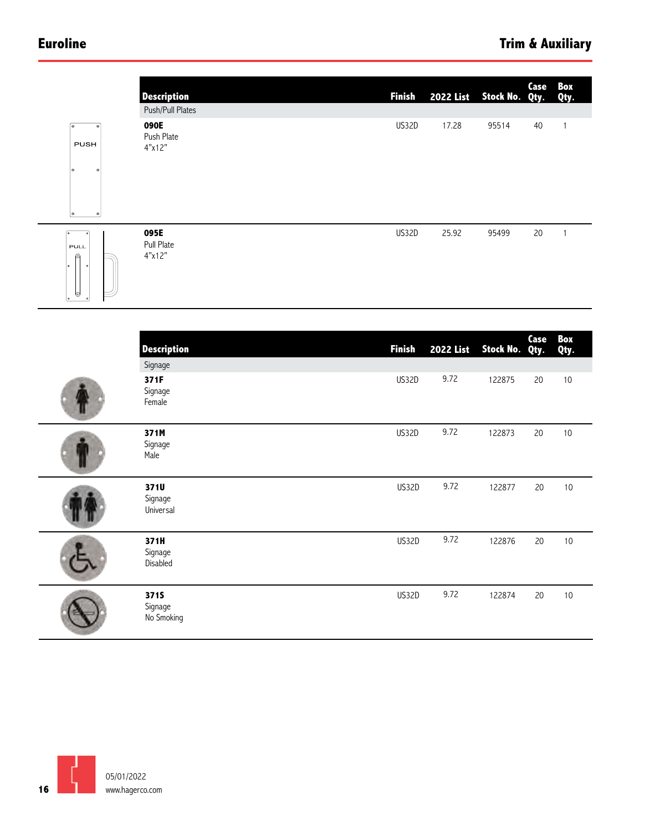## **Euroline**

|                                                                | <b>Description</b>                               | <b>Finish</b> | <b>2022 List</b> | Stock No. Qty. | Case         | Box<br>Qty.  |
|----------------------------------------------------------------|--------------------------------------------------|---------------|------------------|----------------|--------------|--------------|
| তি<br>$\bullet$<br><b>PUSH</b><br>o<br>$\circ$<br>$\circ$<br>o | Push/Pull Plates<br>090E<br>Push Plate<br>4"x12" | US32D         | 17.28            | 95514          | $40\,$       | $\mathbf{1}$ |
| ᢛ<br>PULL<br>ø<br>$\bullet$<br>O                               | 095E<br>Pull Plate<br>4"x12"                     | US32D         | 25.92            | 95499          | 20           | $\mathbf{1}$ |
|                                                                | <b>Description</b>                               | <b>Finish</b> | <b>2022 List</b> | Stock No.      | Case<br>Qty. | Box<br>Qty.  |
|                                                                | Signage                                          |               |                  |                |              |              |
|                                                                | 371F<br>Signage<br>Female                        | US32D         | 9.72             | 122875         | 20           | $10$         |
|                                                                | 371M<br>Signage<br>Male                          | US32D         | 9.72             | 122873         | 20           | $10$         |
|                                                                | 371U<br>Signage<br>Universal                     | US32D         | 9.72             | 122877         | $20\,$       | $10$         |
|                                                                | 371H<br>Signage<br>Disabled                      | US32D         | 9.72             | 122876         | 20           | $10$         |
|                                                                | 371S<br>Signage<br>No Smoking                    | US32D         | 9.72             | 122874         | $20\,$       | $10$         |

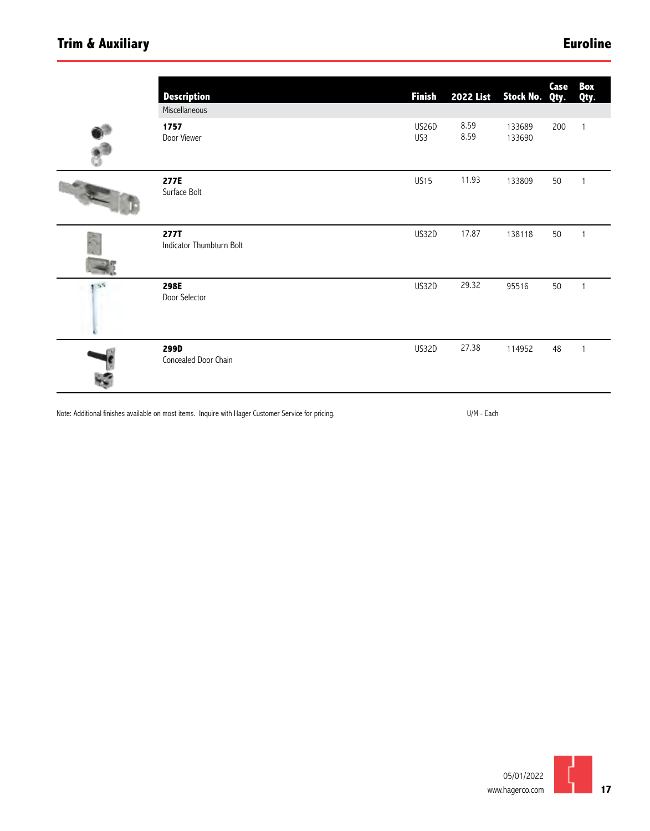# **Trim & Auxiliary**

# **Euroline**

|     | <b>Description</b><br>Miscellaneous | <b>Finish</b> | <b>2022 List</b> | Stock No.        | Case<br>Qty. | Box<br>Qty.  |
|-----|-------------------------------------|---------------|------------------|------------------|--------------|--------------|
|     | 1757<br>Door Viewer                 | US26D<br>US3  | 8.59<br>8.59     | 133689<br>133690 | 200          | $\mathbf{1}$ |
|     | 277E<br>Surface Bolt                | <b>US15</b>   | 11.93            | 133809           | 50           |              |
|     | 277T<br>Indicator Thumbturn Bolt    | US32D         | 17.87            | 138118           | 50           |              |
| 155 | 298E<br>Door Selector               | US32D         | 29.32            | 95516            | 50           |              |
|     | 299D<br>Concealed Door Chain        | US32D         | 27.38            | 114952           | 48           |              |

Note: Additional finishes available on most items. Inquire with Hager Customer Service for pricing. The most service for pricing.

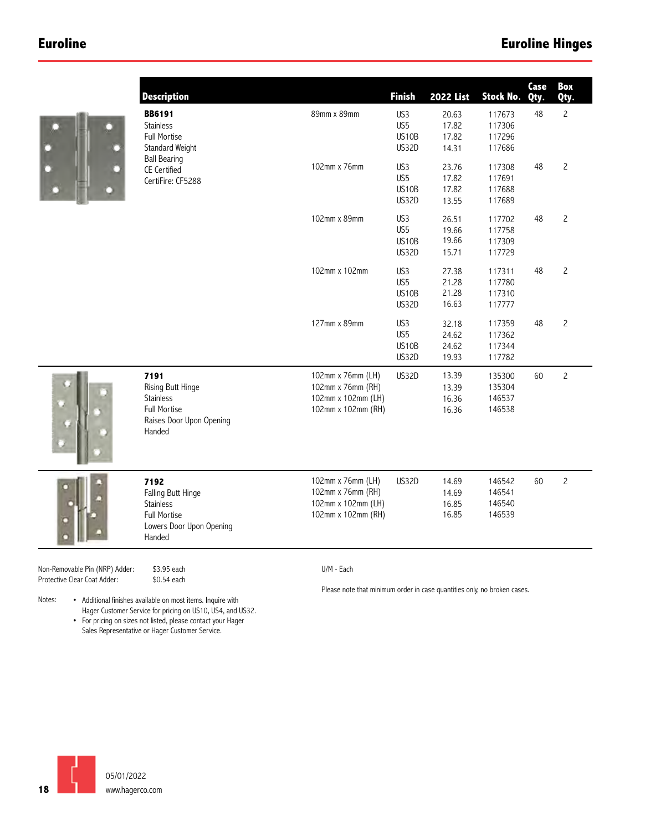### **Euroline**



|           | <b>Description</b>                                                                                         |                                                                                    | <b>Finish</b>                             | <b>2022 List</b>                 | <b>Stock No.</b>                     | Case<br>Qty. | Box<br>Qty.    |
|-----------|------------------------------------------------------------------------------------------------------------|------------------------------------------------------------------------------------|-------------------------------------------|----------------------------------|--------------------------------------|--------------|----------------|
|           | <b>BB6191</b><br><b>Stainless</b><br><b>Full Mortise</b><br>Standard Weight                                | 89mm x 89mm                                                                        | US <sub>3</sub><br>US5<br>US10B<br>US32D  | 20.63<br>17.82<br>17.82<br>14.31 | 117673<br>117306<br>117296<br>117686 | 48           | $\overline{c}$ |
|           | <b>Ball Bearing</b><br>CE Certified<br>CertiFire: CF5288                                                   | 102mm x 76mm                                                                       | US3<br>US5<br>US10B<br>US32D              | 23.76<br>17.82<br>17.82<br>13.55 | 117308<br>117691<br>117688<br>117689 | 48           | $\overline{c}$ |
|           |                                                                                                            | 102mm x 89mm                                                                       | US3<br>US5<br>US10B<br>US32D              | 26.51<br>19.66<br>19.66<br>15.71 | 117702<br>117758<br>117309<br>117729 | 48           | $\overline{c}$ |
|           |                                                                                                            | 102mm x 102mm                                                                      | US3<br>US5<br>US10B<br>US32D              | 27.38<br>21.28<br>21.28<br>16.63 | 117311<br>117780<br>117310<br>117777 | 48           | $\overline{c}$ |
|           |                                                                                                            | 127mm x 89mm                                                                       | US3<br>US5<br>US <sub>10</sub> B<br>US32D | 32.18<br>24.62<br>24.62<br>19.93 | 117359<br>117362<br>117344<br>117782 | 48           | $\mathsf{S}$   |
|           | 7191<br><b>Rising Butt Hinge</b><br><b>Stainless</b><br>Full Mortise<br>Raises Door Upon Opening<br>Handed | 102mm x 76mm (LH)<br>102mm x 76mm (RH)<br>102mm x 102mm (LH)<br>102mm x 102mm (RH) | <b>US32D</b>                              | 13.39<br>13.39<br>16.36<br>16.36 | 135300<br>135304<br>146537<br>146538 | 60           | $\overline{c}$ |
|           | 7192<br>Falling Butt Hinge<br>Stainless<br><b>Full Mortise</b><br>Lowers Door Upon Opening<br>Handed       | 102mm x 76mm (LH)<br>102mm x 76mm (RH)<br>102mm x 102mm (LH)<br>102mm x 102mm (RH) | US32D                                     | 14.69<br>14.69<br>16.85<br>16.85 | 146542<br>146541<br>146540<br>146539 | 60           | $\overline{c}$ |
| P) Adder: | \$3.95 each                                                                                                | U/M - Each                                                                         |                                           |                                  |                                      |              |                |

Non-Removable Pin (NRP) Adder: \$3.95 each<br>Protective Clear Coat Adder: \$0.54 each Protective Clear Coat Adder:

Please note that minimum order in case quantities only, no broken cases.

Notes: • Additional finishes available on most items. Inquire with Hager Customer Service for pricing on US10, US4, and US32. • For pricing on sizes not listed, please contact your Hager

Sales Representative or Hager Customer Service.

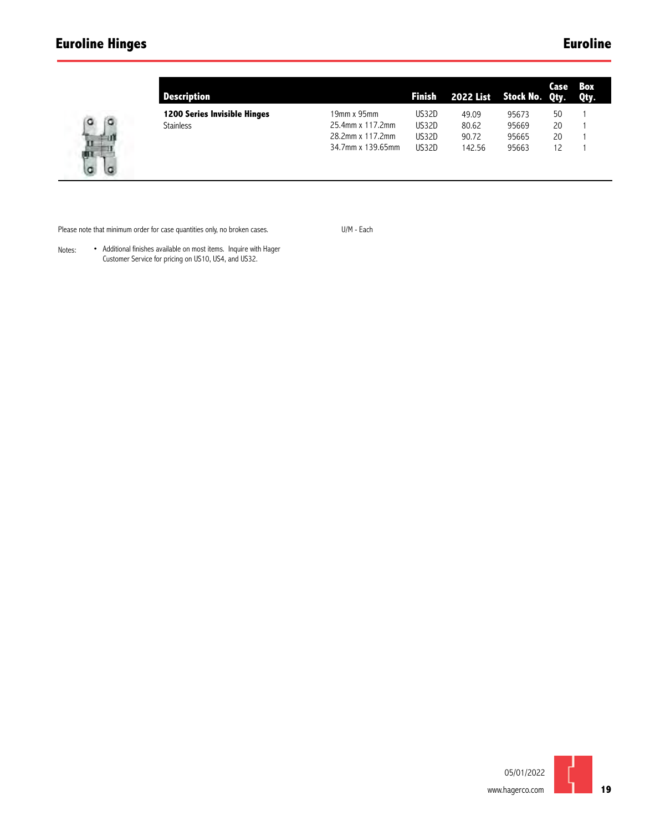# **Euroline Hinges**

# **Euroline**



| Description                         |                   | <b>Finish</b> | 2022 List Stock No. Qty. |       | Case | Box<br>Qty. |
|-------------------------------------|-------------------|---------------|--------------------------|-------|------|-------------|
| <b>1200 Series Invisible Hinges</b> | 19mm x 95mm       | US32D         | 49.09                    | 95673 | 50   |             |
| <b>Stainless</b>                    | 25.4mm x 117.2mm  | US32D         | 80.62                    | 95669 | 20   |             |
|                                     | 28.2mm x 117.2mm  | US32D         | 90.72                    | 95665 | 20   |             |
|                                     | 34.7mm x 139.65mm | US32D         | 142.56                   | 95663 | 12   |             |
|                                     |                   |               |                          |       |      |             |

Please note that minimum order for case quantities only, no broken cases.

U/M - Each

Notes: • Additional finishes available on most items. Inquire with Hager Customer Service for pricing on US10, US4, and US32.